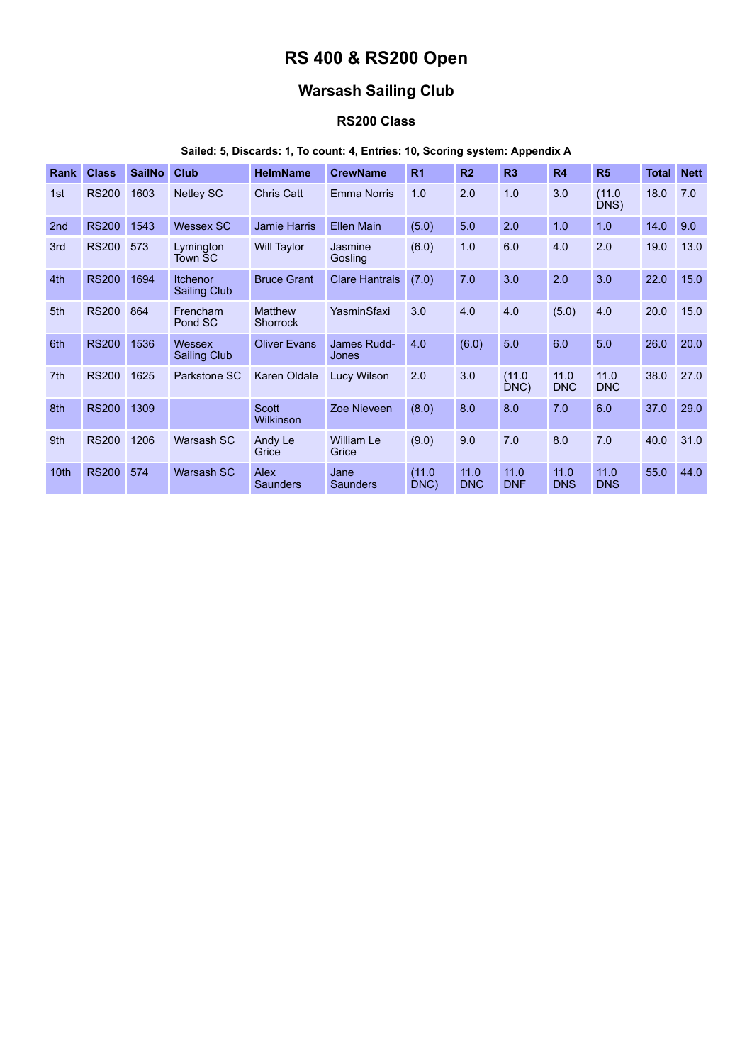# **RS 400 & RS200 Open**

## **Warsash Sailing Club**

## **RS200 Class**

### **Sailed: 5, Discards: 1, To count: 4, Entries: 10, Scoring system: Appendix A**

| <b>Rank</b>     | <b>Class</b> | <b>SailNo</b> | <b>Club</b>                     | <b>HelmName</b>            | <b>CrewName</b>            | R <sub>1</sub> | R <sub>2</sub>     | R <sub>3</sub>     | R4                 | R <sub>5</sub>     | Total | <b>Nett</b> |
|-----------------|--------------|---------------|---------------------------------|----------------------------|----------------------------|----------------|--------------------|--------------------|--------------------|--------------------|-------|-------------|
| 1st             | <b>RS200</b> | 1603          | <b>Netley SC</b>                | <b>Chris Catt</b>          | <b>Emma Norris</b>         | 1.0            | 2.0                | 1.0                | 3.0                | (11.0)<br>DNS)     | 18.0  | 7.0         |
| 2nd             | <b>RS200</b> | 1543          | <b>Wessex SC</b>                | <b>Jamie Harris</b>        | <b>Ellen Main</b>          | (5.0)          | 5.0                | 2.0                | 1.0                | 1.0                | 14.0  | 9.0         |
| 3rd             | <b>RS200</b> | 573           | Lymington<br>Town SC            | <b>Will Taylor</b>         | Jasmine<br>Gosling         | (6.0)          | 1.0                | 6.0                | 4.0                | 2.0                | 19.0  | 13.0        |
| 4th             | <b>RS200</b> | 1694          | <b>Itchenor</b><br>Sailing Club | <b>Bruce Grant</b>         | <b>Clare Hantrais</b>      | (7.0)          | 7.0                | 3.0                | 2.0                | 3.0                | 22.0  | 15.0        |
| 5th             | <b>RS200</b> | 864           | Frencham<br>Pond SC             | <b>Matthew</b><br>Shorrock | YasminSfaxi                | 3.0            | 4.0                | 4.0                | (5.0)              | 4.0                | 20.0  | 15.0        |
| 6th             | <b>RS200</b> | 1536          | Wessex<br>Sailing Club          | <b>Oliver Evans</b>        | James Rudd-<br>Jones       | 4.0            | (6.0)              | 5.0                | 6.0                | 5.0                | 26.0  | 20.0        |
| 7 <sup>th</sup> | <b>RS200</b> | 1625          | Parkstone SC                    | Karen Oldale               | <b>Lucy Wilson</b>         | 2.0            | 3.0                | (11.0)<br>DNC)     | 11.0<br><b>DNC</b> | 11.0<br><b>DNC</b> | 38.0  | 27.0        |
| 8th             | <b>RS200</b> | 1309          |                                 | <b>Scott</b><br>Wilkinson  | Zoe Nieveen                | (8.0)          | 8.0                | 8.0                | 7.0                | 6.0                | 37.0  | 29.0        |
| 9th             | <b>RS200</b> | 1206          | Warsash SC                      | Andy Le<br>Grice           | <b>William Le</b><br>Grice | (9.0)          | 9.0                | 7.0                | 8.0                | 7.0                | 40.0  | 31.0        |
| 10th            | <b>RS200</b> | 574           | Warsash SC                      | <b>Alex</b><br>Saunders    | Jane<br>Saunders           | (11.0)<br>DNC) | 11.0<br><b>DNC</b> | 11.0<br><b>DNF</b> | 11.0<br><b>DNS</b> | 11.0<br><b>DNS</b> | 55.0  | 44.0        |